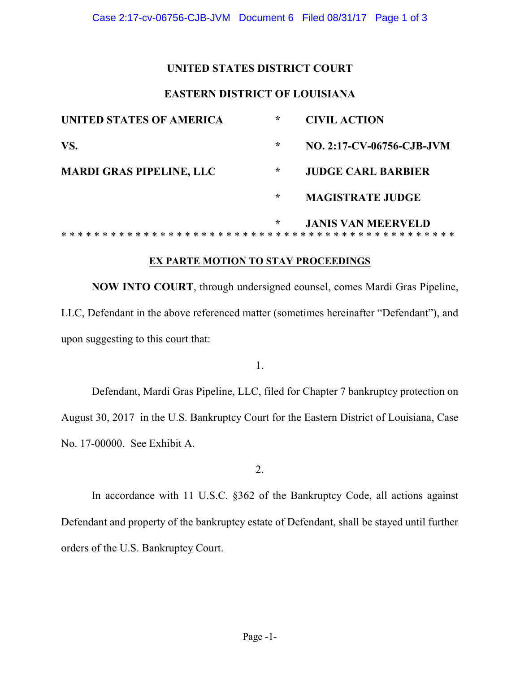### **UNITED STATES DISTRICT COURT**

### **EASTERN DISTRICT OF LOUISIANA**

| UNITED STATES OF AMERICA        | $\star$ | <b>CIVIL ACTION</b>                                          |
|---------------------------------|---------|--------------------------------------------------------------|
| VS.                             | ∗       | NO. 2:17-CV-06756-CJB-JVM                                    |
| <b>MARDI GRAS PIPELINE, LLC</b> | *       | <b>JUDGE CARL BARBIER</b>                                    |
|                                 | ∗       | <b>MAGISTRATE JUDGE</b>                                      |
|                                 | ∗       | <b>JANIS VAN MEERVELD</b><br>* * * * * * * * * * * * * * * * |

### **EX PARTE MOTION TO STAY PROCEEDINGS**

**NOW INTO COURT**, through undersigned counsel, comes Mardi Gras Pipeline, LLC, Defendant in the above referenced matter (sometimes hereinafter "Defendant"), and upon suggesting to this court that:

1.

 Defendant, Mardi Gras Pipeline, LLC, filed for Chapter 7 bankruptcy protection on August 30, 2017 in the U.S. Bankruptcy Court for the Eastern District of Louisiana, Case No. 17-00000. See Exhibit A.

2.

 Defendant and property of the bankruptcy estate of Defendant, shall be stayed until further In accordance with 11 U.S.C. §362 of the Bankruptcy Code, all actions against orders of the U.S. Bankruptcy Court.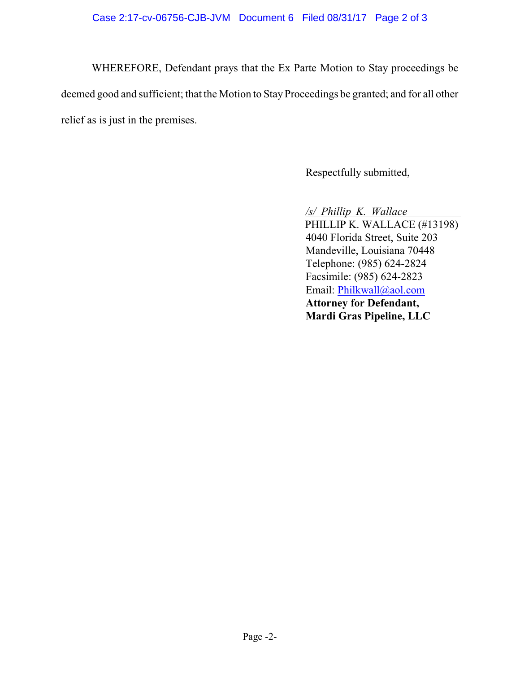WHEREFORE, Defendant prays that the Ex Parte Motion to Stay proceedings be deemed good and sufficient; that the Motion to Stay Proceedings be granted; and for all other relief as is just in the premises.

Respectfully submitted,

 */s/ Phillip K. Wallace* PHILLIP K. WALLACE (#13198) 4040 Florida Street, Suite 203 Mandeville, Louisiana 70448 Telephone: (985) 624-2824 Facsimile: (985) 624-2823 Email: Philkwall@aol.com **Attorney for Defendant, Mardi Gras Pipeline, LLC**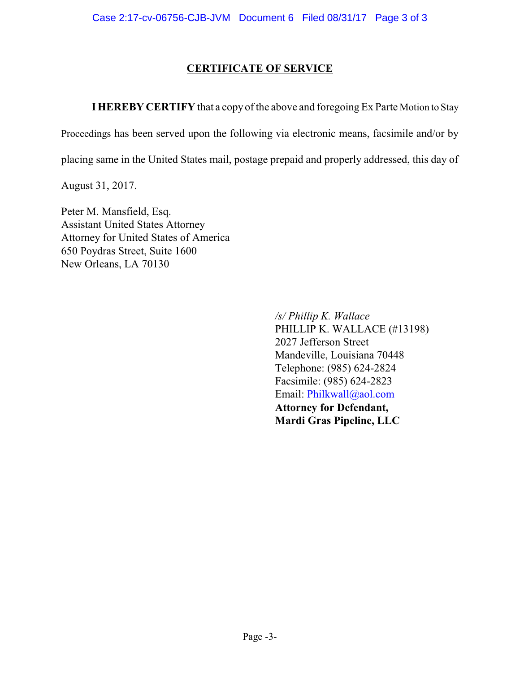# **CERTIFICATE OF SERVICE**

**I HEREBY CERTIFY** that a copy of the above and foregoing Ex Parte Motion to Stay

Proceedings has been served upon the following via electronic means, facsimile and/or by

placing same in the United States mail, postage prepaid and properly addressed, this day of

August 31, 2017.

Peter M. Mansfield, Esq. Assistant United States Attorney Attorney for United States of America 650 Poydras Street, Suite 1600 New Orleans, LA 70130

> */s/ Phillip K. Wallace*  PHILLIP K. WALLACE (#13198) 2027 Jefferson Street Mandeville, Louisiana 70448 Telephone: (985) 624-2824 Facsimile: (985) 624-2823 Email: Philkwall@aol.com **Attorney for Defendant, Mardi Gras Pipeline, LLC**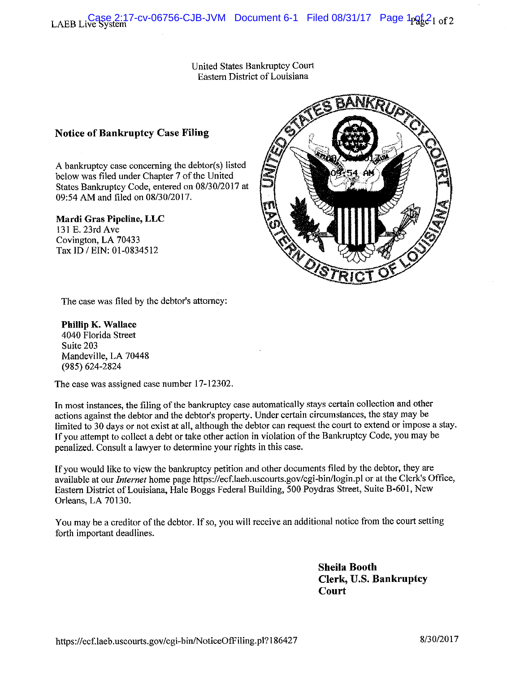United States Bankruptcy Court Eastern District of Louisiana

### **Notice of Bankruptcy Case Filing**

A bankruptcy case concerning the debtor(s) listed below was filed under Chapter 7 of the United States Bankruptcy Code, entered on 08/30/2017 at 09:54 AM and filed on 08/30/2017.

#### Mardi Gras Pipeline, LLC

131 E. 23rd Ave Covington, LA 70433 Tax ID / EIN: 01-0834512



The case was filed by the debtor's attorney:

Phillip K. Wallace 4040 Florida Street Suite 203 Mandeville, LA 70448 (985) 624-2824

The case was assigned case number 17-12302.

In most instances, the filing of the bankruptcy case automatically stays certain collection and other actions against the debtor and the debtor's property. Under certain circumstances, the stay may be limited to 30 days or not exist at all, although the debtor can request the court to extend or impose a stay. If you attempt to collect a debt or take other action in violation of the Bankruptcy Code, you may be penalized. Consult a lawyer to determine your rights in this case.

If you would like to view the bankruptcy petition and other documents filed by the debtor, they are available at our *Internet* home page https://ecf.laeb.uscourts.gov/cgi-bin/login.pl or at the Clerk's Office, Eastern District of Louisiana, Hale Boggs Federal Building, 500 Poydras Street, Suite B-601, New Orleans, LA 70130.

You may be a creditor of the debtor. If so, you will receive an additional notice from the court setting forth important deadlines.

> **Sheila Booth** Clerk, U.S. Bankruptcy **Court**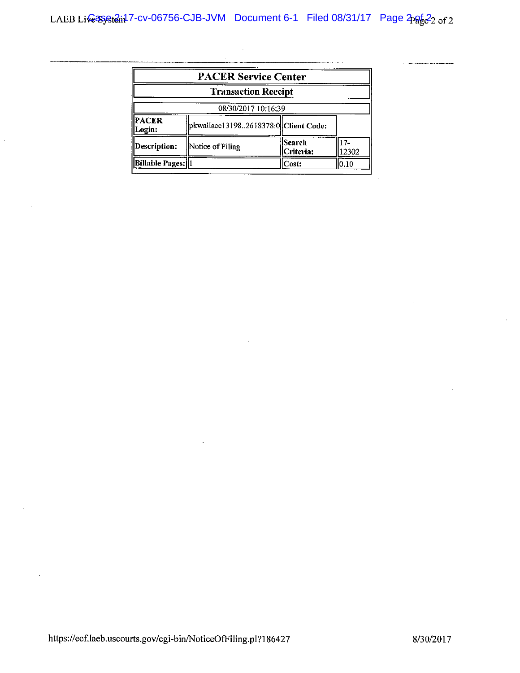$\sim$ 

| <b>PACER Service Center</b><br><b>Transaction Receipt</b> |                                         |                     |             |  |
|-----------------------------------------------------------|-----------------------------------------|---------------------|-------------|--|
|                                                           |                                         |                     |             |  |
| PACER<br>ogin:                                            | pkwallace13198.:2618378:0  Client Code: |                     |             |  |
| Description:                                              | Notice of Filing                        | Search<br>Criteria: | 7.<br>12302 |  |
| <b>Billable Pages:   1</b>                                |                                         | Cost:               | 0.10        |  |